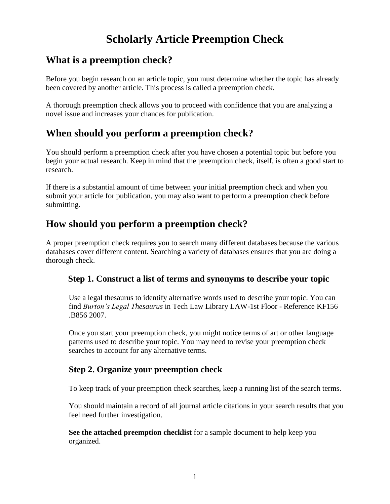# **Scholarly Article Preemption Check**

### **What is a preemption check?**

Before you begin research on an article topic, you must determine whether the topic has already been covered by another article. This process is called a preemption check.

A thorough preemption check allows you to proceed with confidence that you are analyzing a novel issue and increases your chances for publication.

## **When should you perform a preemption check?**

You should perform a preemption check after you have chosen a potential topic but before you begin your actual research. Keep in mind that the preemption check, itself, is often a good start to research.

If there is a substantial amount of time between your initial preemption check and when you submit your article for publication, you may also want to perform a preemption check before submitting.

## **How should you perform a preemption check?**

A proper preemption check requires you to search many different databases because the various databases cover different content. Searching a variety of databases ensures that you are doing a thorough check.

### **Step 1. Construct a list of terms and synonyms to describe your topic**

Use a legal thesaurus to identify alternative words used to describe your topic. You can find *Burton's Legal Thesaurus* in Tech Law Library LAW-1st Floor - Reference KF156 .B856 2007.

Once you start your preemption check, you might notice terms of art or other language patterns used to describe your topic. You may need to revise your preemption check searches to account for any alternative terms.

### **Step 2. Organize your preemption check**

To keep track of your preemption check searches, keep a running list of the search terms.

You should maintain a record of all journal article citations in your search results that you feel need further investigation.

**See the attached preemption checklist** for a sample document to help keep you organized.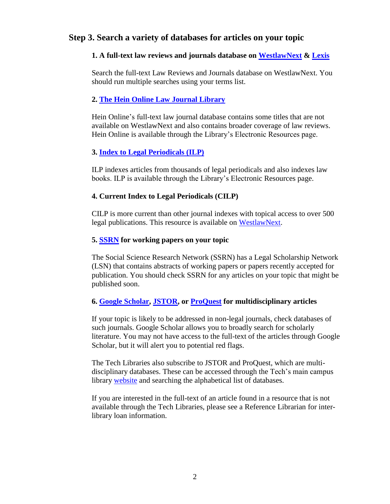### **Step 3. Search a variety of databases for articles on your topic**

#### **1. A full-text law reviews and journals database on [WestlawNext](https://signon.thomsonreuters.com/?productid=LSC&returnto=https%3a%2f%2flawschool.westlaw.com%2fauthentication%2ftoken%3ffwdURL%3d%252fDesktopDefault.aspx) & [Lexis](https://www.lexisnexis.com/lawschool/lsp/p/studenthome.aspx?lc=LawSchoolPortal/Signin)**

Search the full-text Law Reviews and Journals database on WestlawNext. You should run multiple searches using your terms list.

#### **2. [The Hein Online Law Journal Library](http://www.heinonline.org.law-ezp.law.ttu.edu/HOL/Index?collection=journals&set_as_cursor=clear)**

Hein Online's full-text law journal database contains some titles that are not available on WestlawNext and also contains broader coverage of law reviews. Hein Online is available through the Library's Electronic Resources page.

#### **3. [Index to Legal Periodicals \(ILP\)](http://law-ezp.law.ttu.edu/login?url=http://search.ebscohost.com/login.aspx?authtype=ip,uid&profile=ehost&defaultdb=lpb)**

ILP indexes articles from thousands of legal periodicals and also indexes law books. ILP is available through the Library's Electronic Resources page.

#### **4. Current Index to Legal Periodicals (CILP)**

CILP is more current than other journal indexes with topical access to over 500 legal publications. This resource is available on [WestlawNext.](https://signon.thomsonreuters.com/?productid=LSC&returnto=https%3a%2f%2flawschool.westlaw.com%2fauthentication%2ftoken%3ffwdURL%3d%252fDesktopDefault.aspx)

#### **5. [SSRN](http://papers.ssrn.com/sol3/DisplayAbstractSearch.cfm) for working papers on your topic**

The Social Science Research Network (SSRN) has a Legal Scholarship Network (LSN) that contains abstracts of working papers or papers recently accepted for publication. You should check SSRN for any articles on your topic that might be published soon.

#### **6. [Google Scholar,](http://scholar.google.com/) [JSTOR,](http://www.jstor.org/action/showBasicSearch) or [ProQuest](http://search.proquest.com/all_subscribed/advanced?accountid=7098) for multidisciplinary articles**

If your topic is likely to be addressed in non-legal journals, check databases of such journals. Google Scholar allows you to broadly search for scholarly literature. You may not have access to the full-text of the articles through Google Scholar, but it will alert you to potential red flags.

The Tech Libraries also subscribe to JSTOR and ProQuest, which are multidisciplinary databases. These can be accessed through the Tech's main campus library [website](http://library.ttu.edu/) and searching the alphabetical list of databases.

If you are interested in the full-text of an article found in a resource that is not available through the Tech Libraries, please see a Reference Librarian for interlibrary loan information.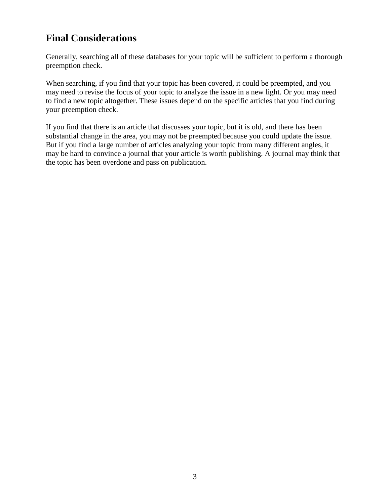## **Final Considerations**

Generally, searching all of these databases for your topic will be sufficient to perform a thorough preemption check.

When searching, if you find that your topic has been covered, it could be preempted, and you may need to revise the focus of your topic to analyze the issue in a new light. Or you may need to find a new topic altogether. These issues depend on the specific articles that you find during your preemption check.

If you find that there is an article that discusses your topic, but it is old, and there has been substantial change in the area, you may not be preempted because you could update the issue. But if you find a large number of articles analyzing your topic from many different angles, it may be hard to convince a journal that your article is worth publishing. A journal may think that the topic has been overdone and pass on publication.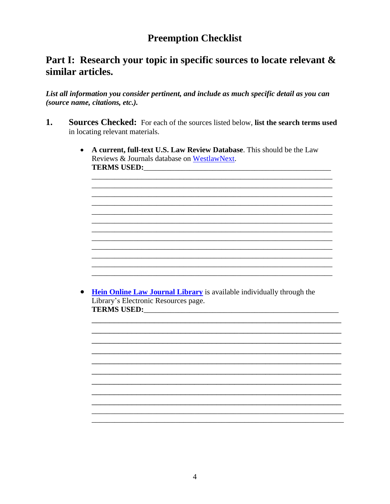## **Preemption Checklist**

### Part I: Research your topic in specific sources to locate relevant & similar articles.

List all information you consider pertinent, and include as much specific detail as you can (source name, citations, etc.).

- 1. Sources Checked: For each of the sources listed below, list the search terms used in locating relevant materials.
	- A current, full-text U.S. Law Review Database. This should be the Law Reviews & Journals database on WestlawNext. TERMS USED:

• Hein Online Law Journal Library is available individually through the Library's Electronic Resources page. TERMS USED: TERMS USED: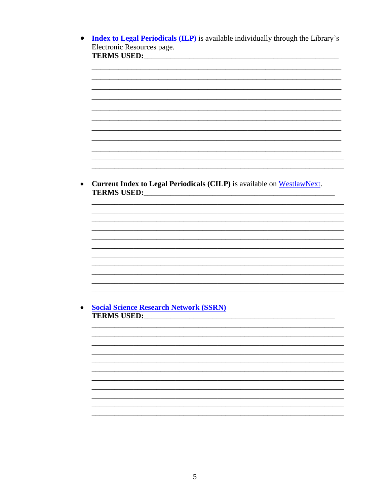• Index to Legal Periodicals (ILP) is available individually through the Library's Electronic Resources page. **TERMS USED:** TERMS USED: • Current Index to Legal Periodicals (CILP) is available on WestlawNext. **TERMS USED:** TERMS USED: **Social Science Research Network (SSRN)**  $\bullet$ **TERMS USED:** TERMS USED:

5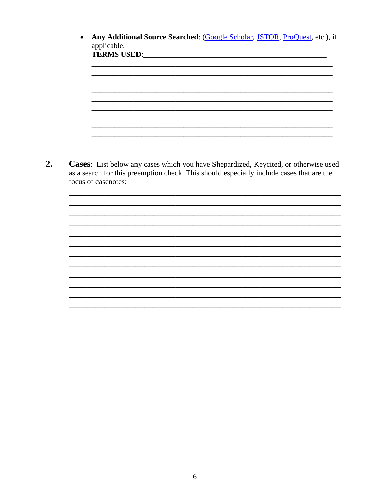Any Additional Source Searched: (Google Scholar, JSTOR, ProQuest, etc.), if  $\bullet$ applicable. <u> 1989 - Johann John Stone, markin amerikan bestema dalam penyakan berasal dalam pengaran berasal dalam pengara</u> <u> 1989 - Johann Barn, mars ann an t-Amhain ann an t-Amhain ann an t-Amhain ann an t-Amhain an t-Amhain an t-Amh</u> Cases: List below any cases which you have Shepardized, Keycited, or otherwise used as a search for this preemption check. This should especially include cases that are the focus of casenotes: 

 $2.$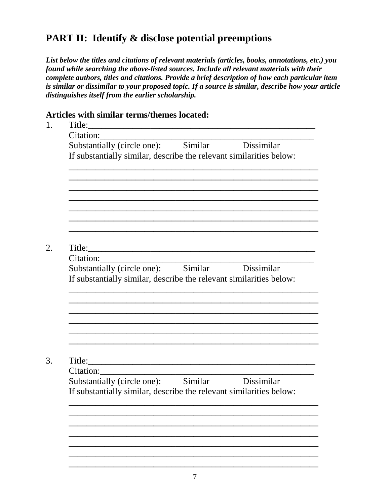## **PART II: Identify & disclose potential preemptions**

*List below the titles and citations of relevant materials (articles, books, annotations, etc.) you found while searching the above-listed sources. Include all relevant materials with their complete authors, titles and citations. Provide a brief description of how each particular item is similar or dissimilar to your proposed topic. If a source is similar, describe how your article distinguishes itself from the earlier scholarship.*

### **Articles with similar terms/themes located:**

| Citation:<br>Substantially (circle one): Similar Dissimilar<br>If substantially similar, describe the relevant similarities below:<br>Title: |  |
|----------------------------------------------------------------------------------------------------------------------------------------------|--|
|                                                                                                                                              |  |
|                                                                                                                                              |  |
|                                                                                                                                              |  |
|                                                                                                                                              |  |
|                                                                                                                                              |  |
|                                                                                                                                              |  |
|                                                                                                                                              |  |
|                                                                                                                                              |  |
|                                                                                                                                              |  |
| Citation:                                                                                                                                    |  |
| Substantially (circle one): Similar Dissimilar                                                                                               |  |
| If substantially similar, describe the relevant similarities below:                                                                          |  |
|                                                                                                                                              |  |
|                                                                                                                                              |  |
|                                                                                                                                              |  |
|                                                                                                                                              |  |
|                                                                                                                                              |  |
|                                                                                                                                              |  |
|                                                                                                                                              |  |
|                                                                                                                                              |  |
| Citation:                                                                                                                                    |  |
| <u> 1980 - Johann John Stein, mars eta bat eta bat e</u><br>Substantially (circle one): Similar Dissimilar                                   |  |
|                                                                                                                                              |  |
| If substantially similar, describe the relevant similarities below:                                                                          |  |
|                                                                                                                                              |  |
|                                                                                                                                              |  |
|                                                                                                                                              |  |
|                                                                                                                                              |  |
|                                                                                                                                              |  |
|                                                                                                                                              |  |